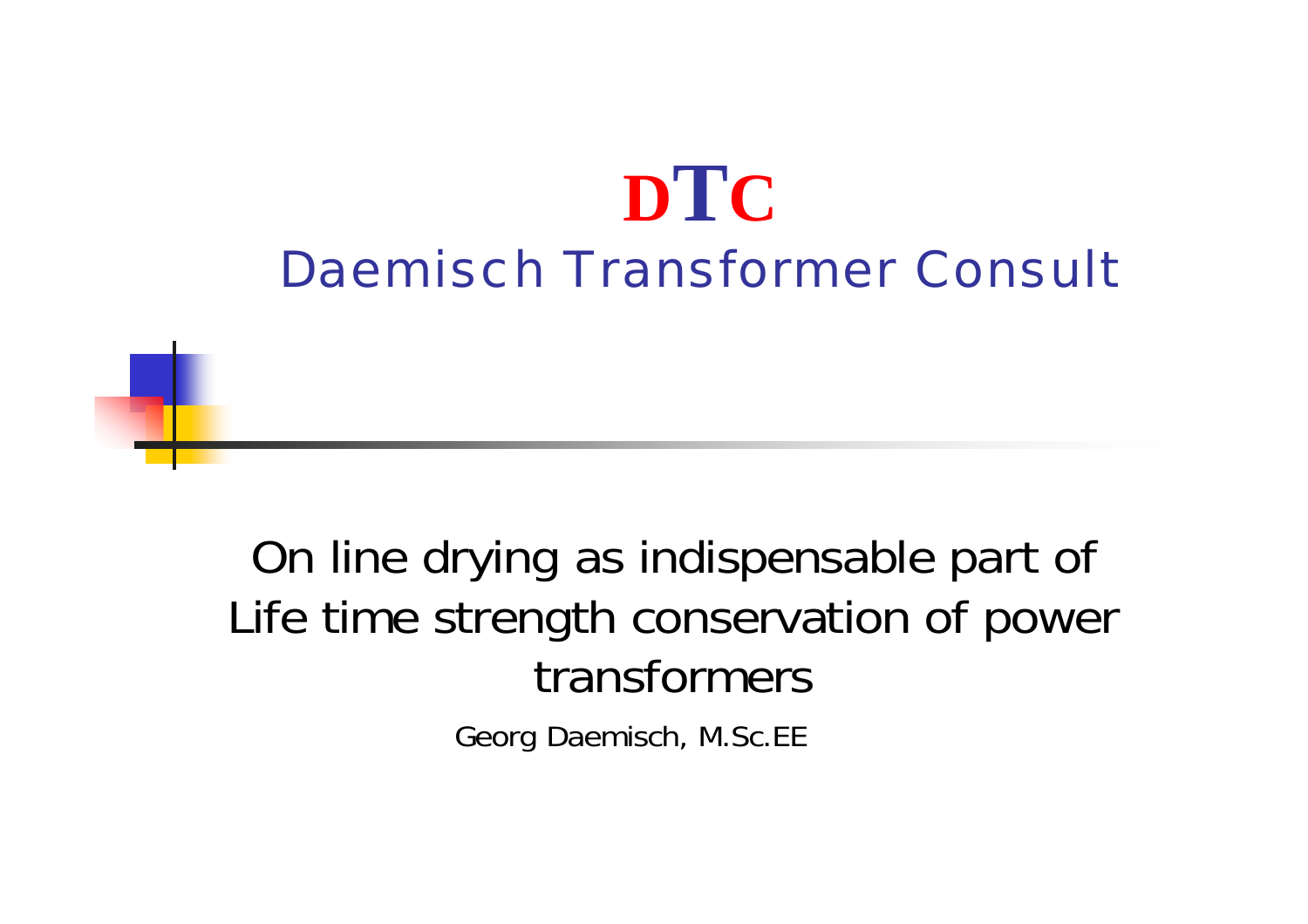# **DTC** Daemisch Transformer Consult

On line drying as indispensable part of Life time strength conservation of power transformers

Georg Daemisch, M.Sc.EE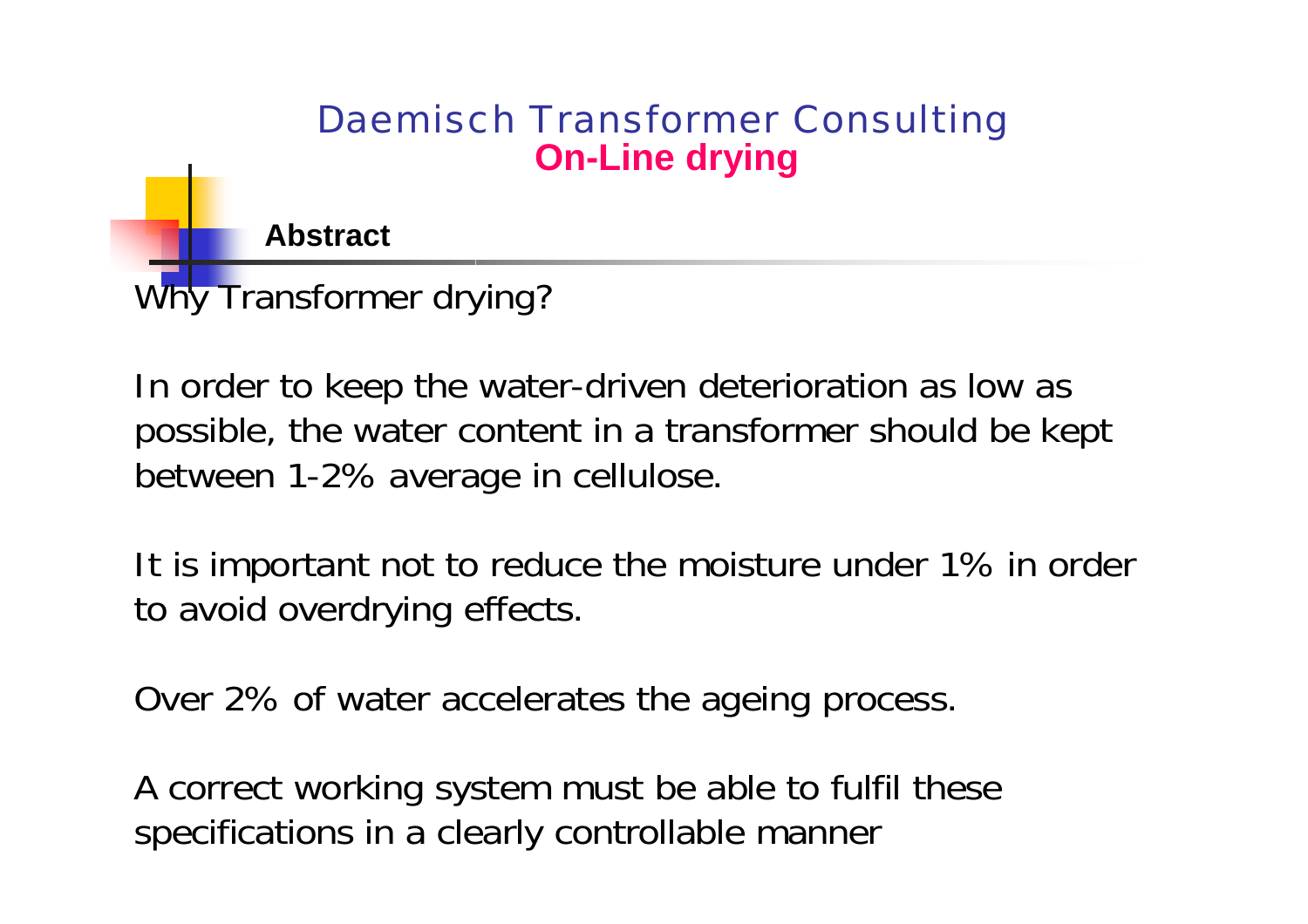**Abstract**

Why Transformer drying?

In order to keep the water-driven deterioration as low as possible, the water content in a transformer should be kept between 1-2% average in cellulose.

It is important not to reduce the moisture under 1% in order to avoid overdrying effects.

Over 2% of water accelerates the ageing process.

A correct working system must be able to fulfil these specifications in a clearly controllable manner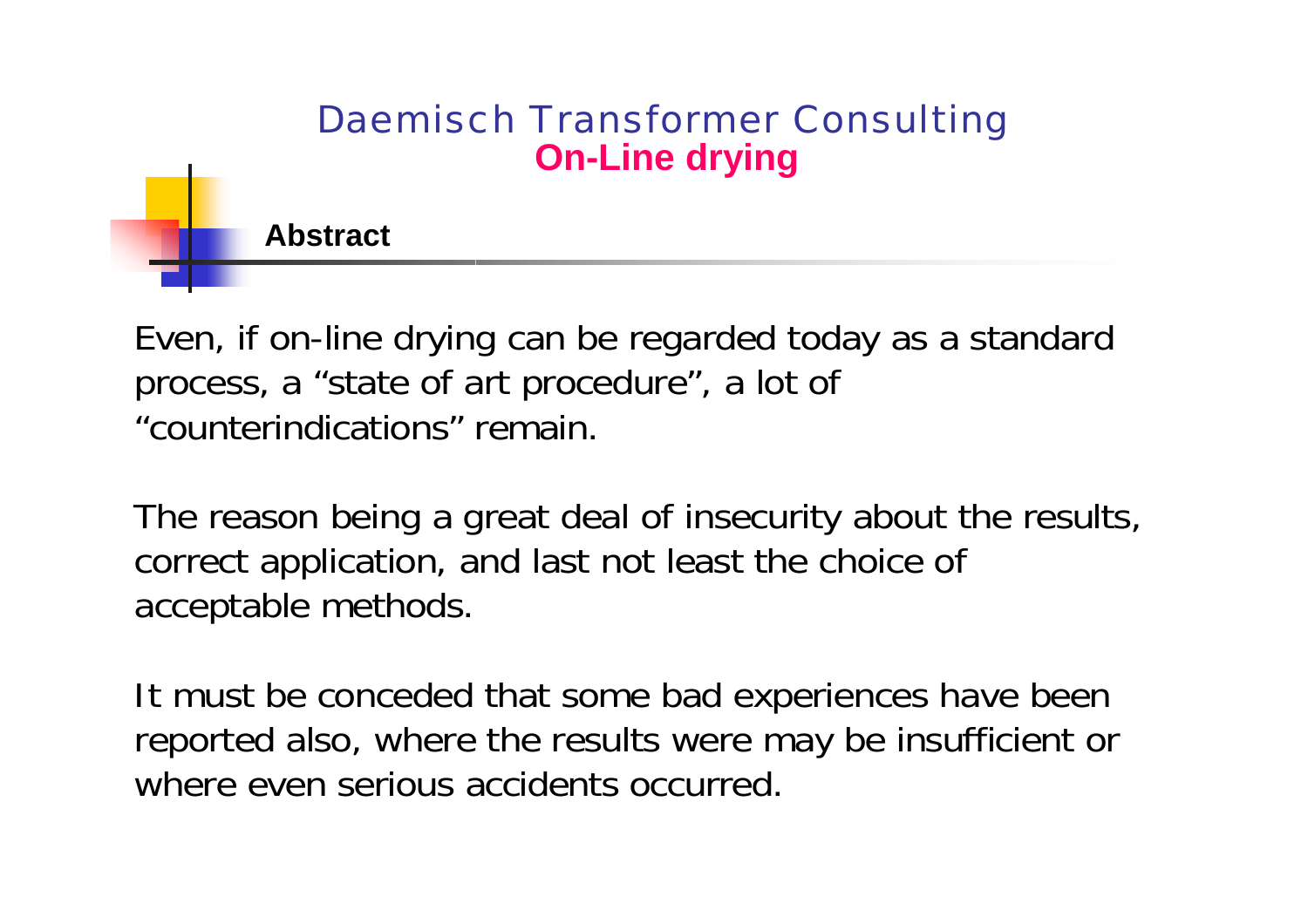**Abstract**

Even, if on-line drying can be regarded today as a standard process, a "state of art procedure", a lot of "counterindications" remain.

The reason being a great deal of insecurity about the results, correct application, and last not least the choice of acceptable methods.

It must be conceded that some bad experiences have been reported also, where the results were may be insufficient or where even serious accidents occurred.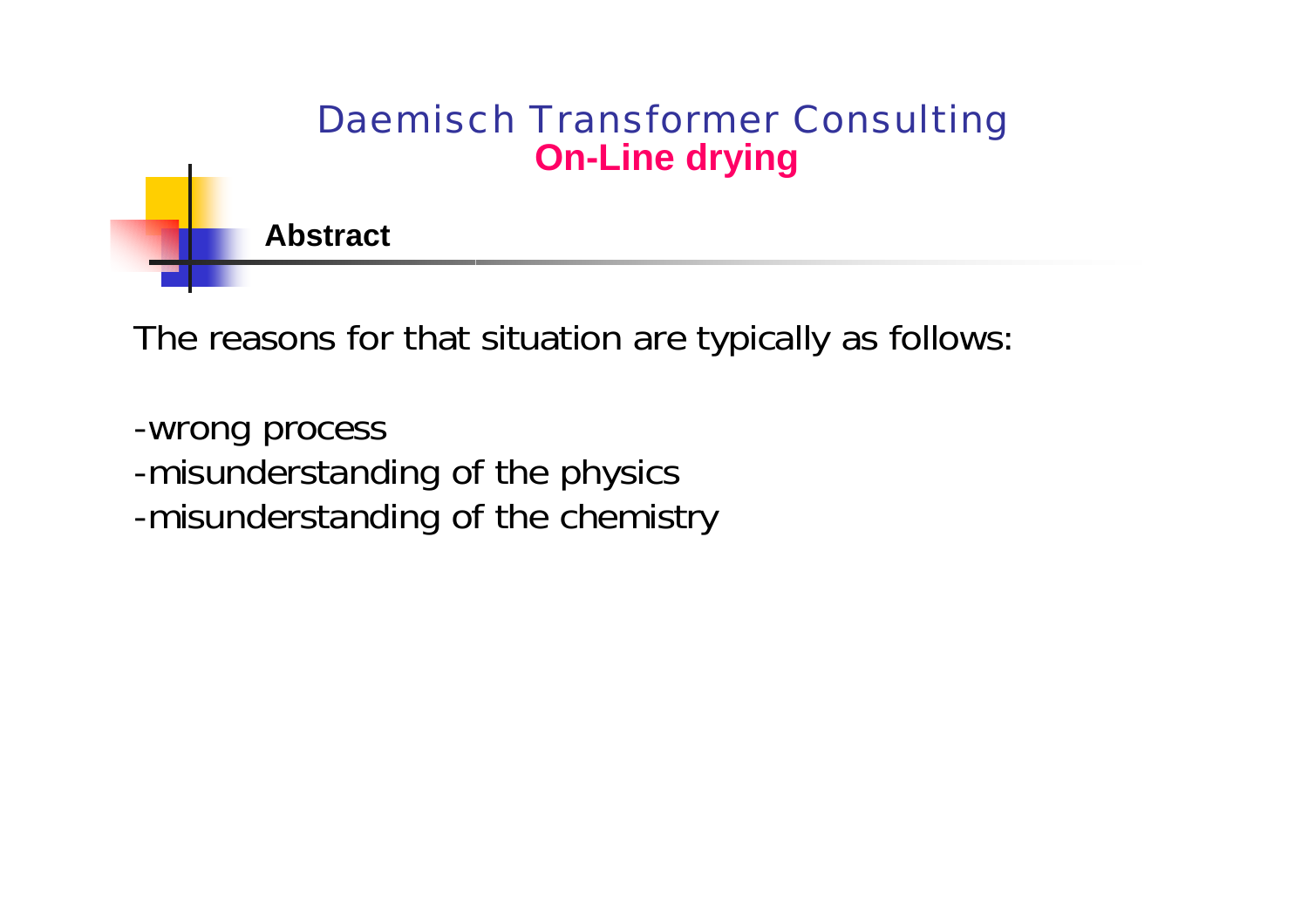

The reasons for that situation are typically as follows:

-wrong process -misunderstanding of the physics -misunderstanding of the chemistry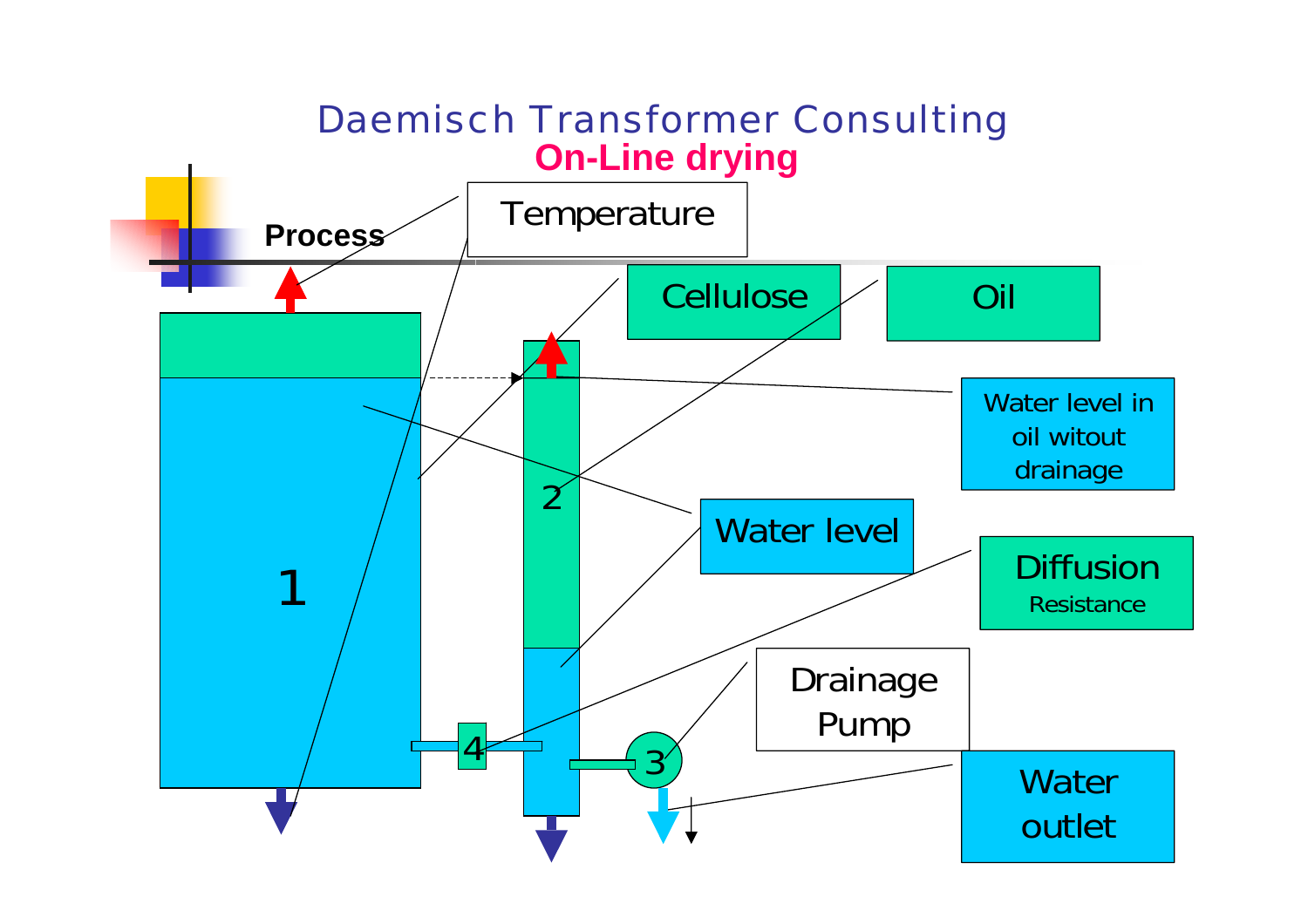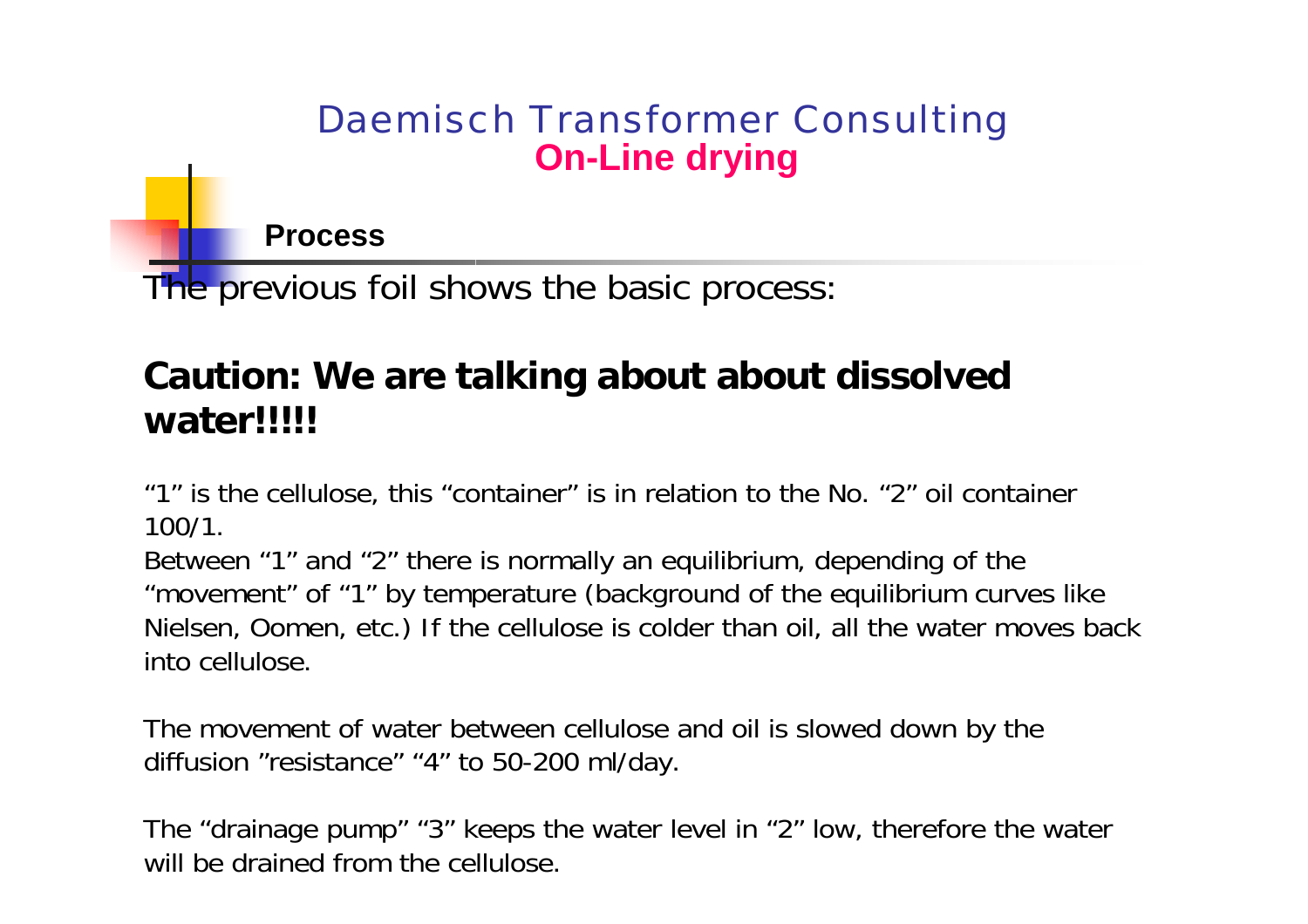**Process**

The previous foil shows the basic process:

## **Caution: We are talking about about dissolved water!!!!!**

"1" is the cellulose, this "container" is in relation to the No. "2" oil container 100/1.

Between "1" and "2" there is normally an equilibrium, depending of the "movement" of "1" by temperature (background of the equilibrium curves like Nielsen, Oomen, etc.) If the cellulose is colder than oil, all the water moves back into cellulose.

The movement of water between cellulose and oil is slowed down by the diffusion "resistance" "4" to 50-200 ml/day.

The "drainage pump" "3" keeps the water level in "2" low, therefore the water will be drained from the cellulose.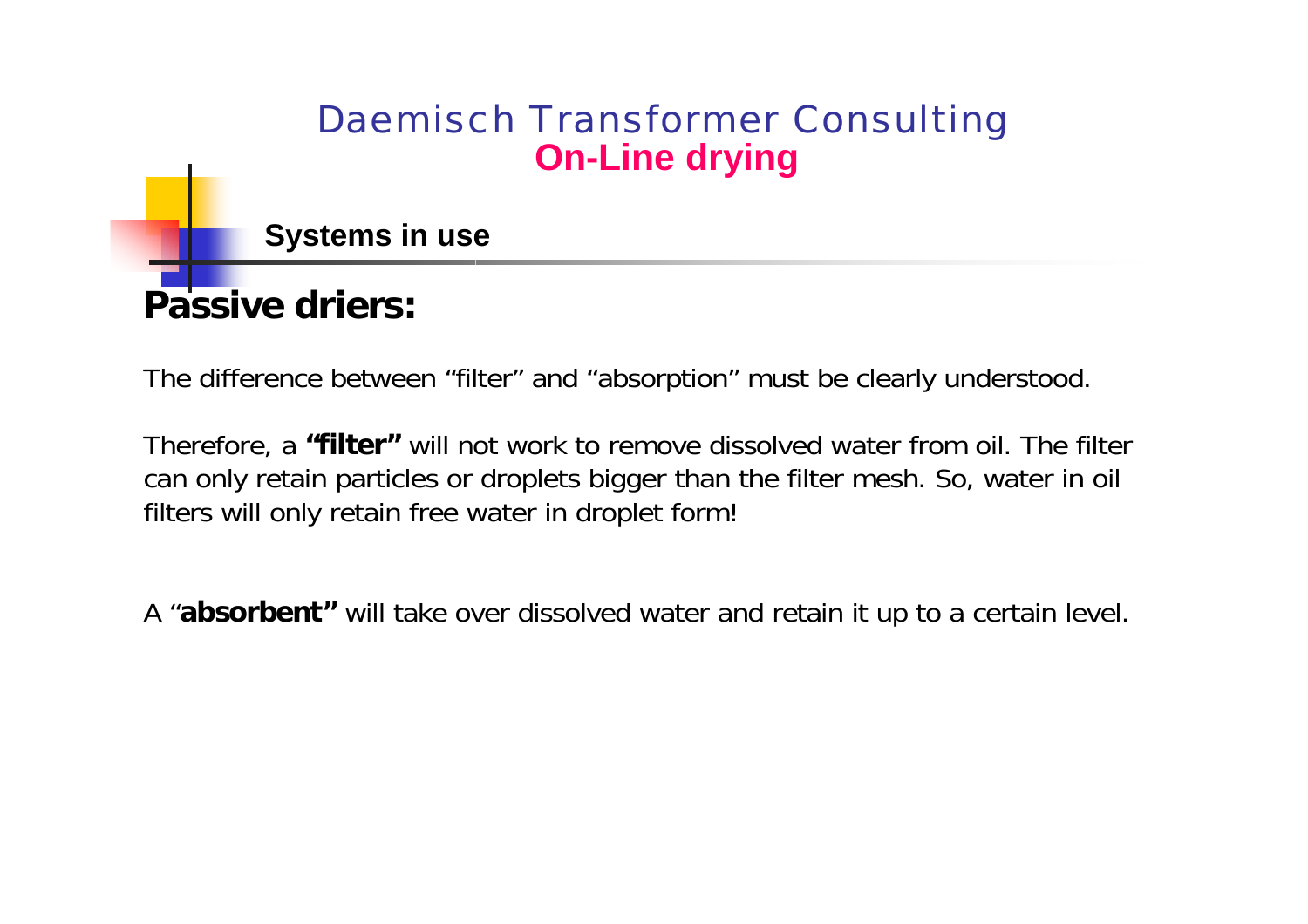**Systems in use**

# **Passive driers:**

The difference between "filter" and "absorption" must be clearly understood.

Therefore, a **"filter"** will not work to remove dissolved water from oil. T he filter can only retain particles or droplets bigger than the filter mesh. So, water in oil filters will only retain free water in droplet form!

A "**absorbent"** will take over dissolved water and retain it up to a certain level.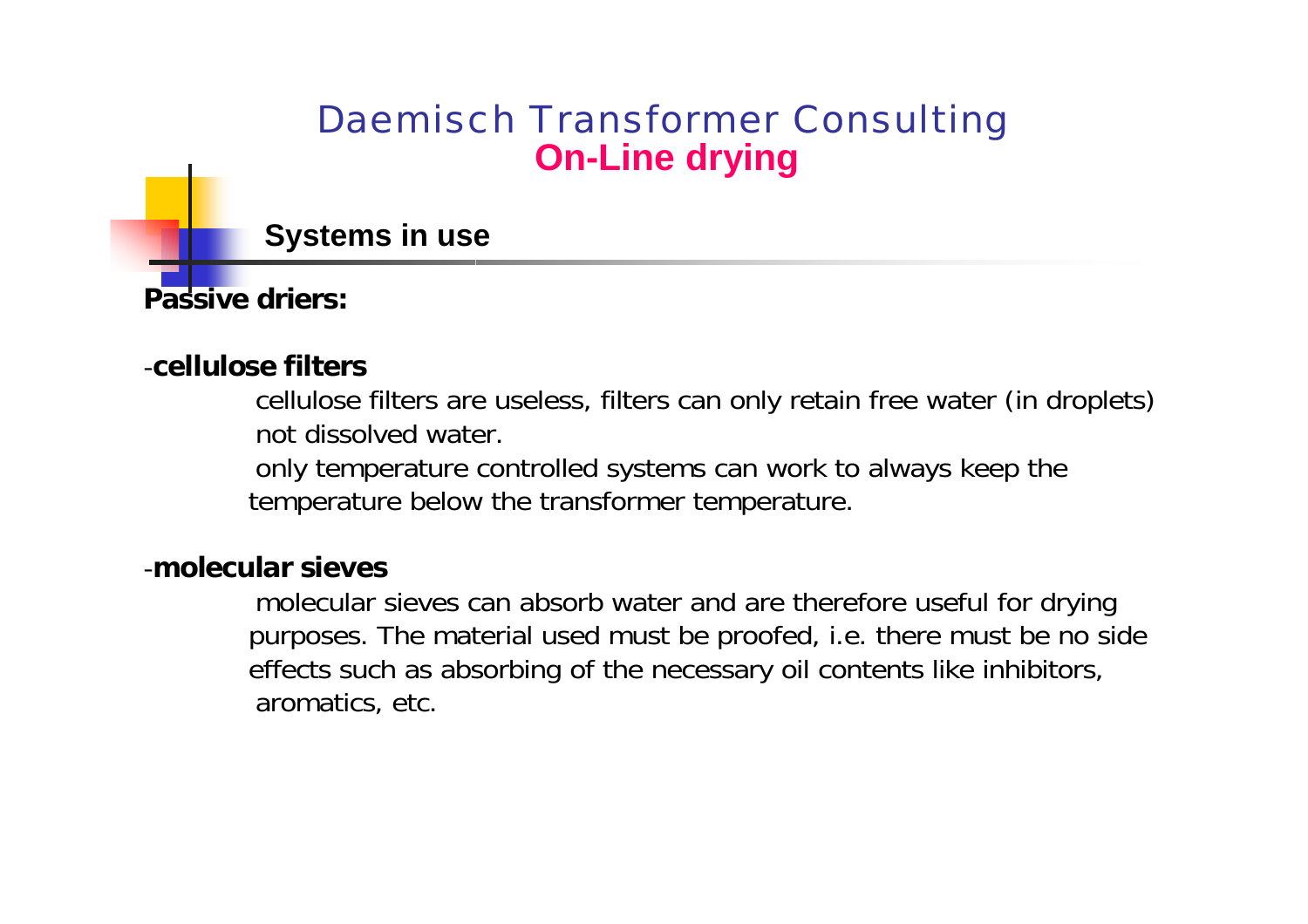**Systems in use**

**Passive driers:**

#### -**cellulose filters**

cellulose filters are useless, filters can only retain free water (in droplets) not dissolved water.

only temperature controlled systems can work to always keep the temperature below the transformer temperature.

#### -**molecular sieves**

molecular sieves can absorb water and are therefore useful for drying purposes. The material used must be proofed, i.e. there must be no side effects such as absorbing of the necessary oil contents like inhibitors, aromatics, etc.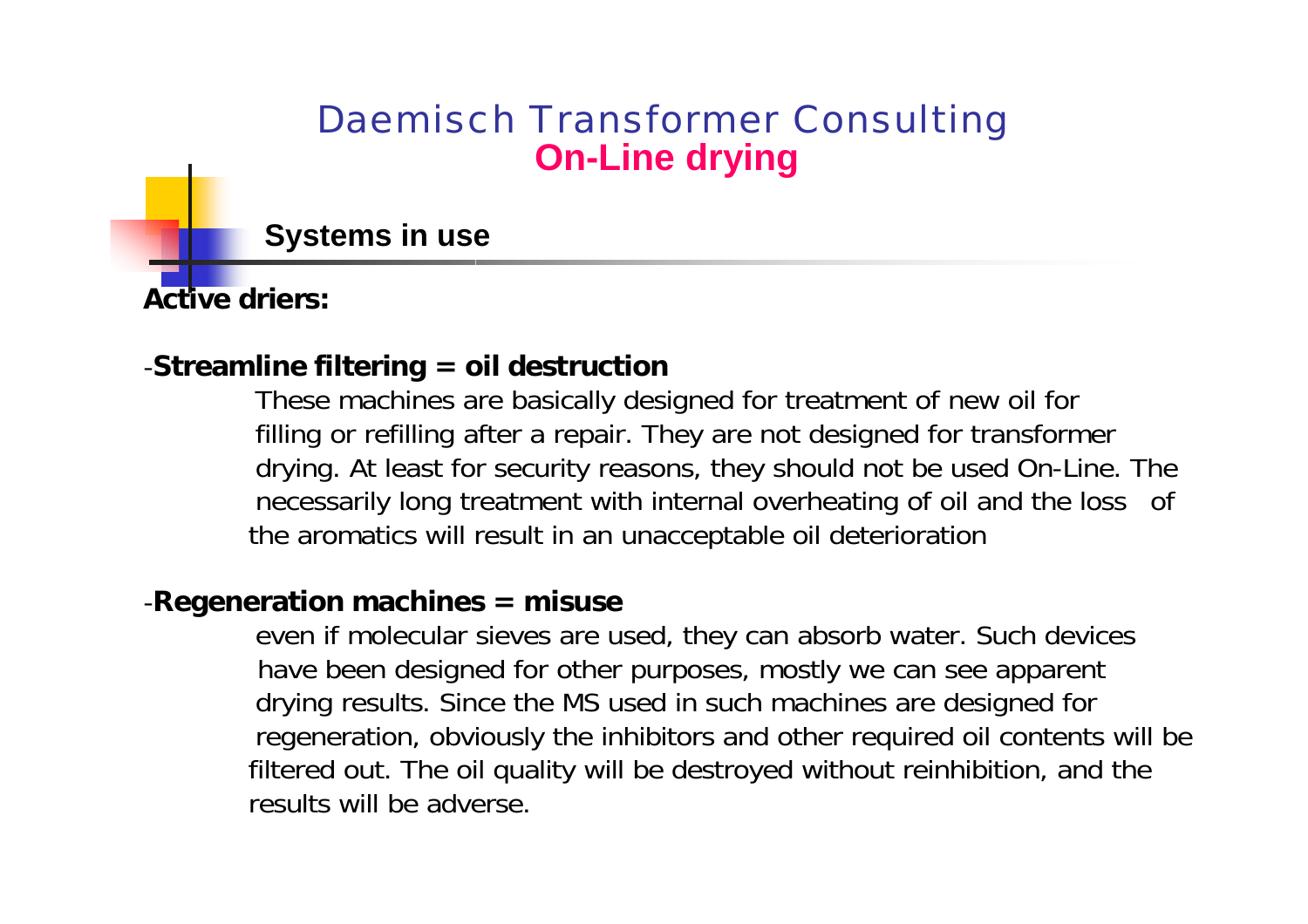**Systems in use**

**Active driers:**

#### -**Streamline filtering = oil destruction**

These machines are basically designed for treatment of new oil for filling or refilling after a repair. They are not designed for transformer drying. At least for security reasons, they should not be used On-Line. The necessarily long treatment with internal overheating of oil and the loss of the aromatics will result in an unacceptable oil deterioration

#### -**Regeneration m a chines = misu se**

even if molecular sieves are used, they can absorb water. Such devices have been designed for other purposes, mostly we can see apparent drying results. Since the MS used in such machines are designed for regeneration, obviously the inhibitors and other required oil contents will be filtered out. The oil quality will be destroyed without reinhibition, and the results will be adverse.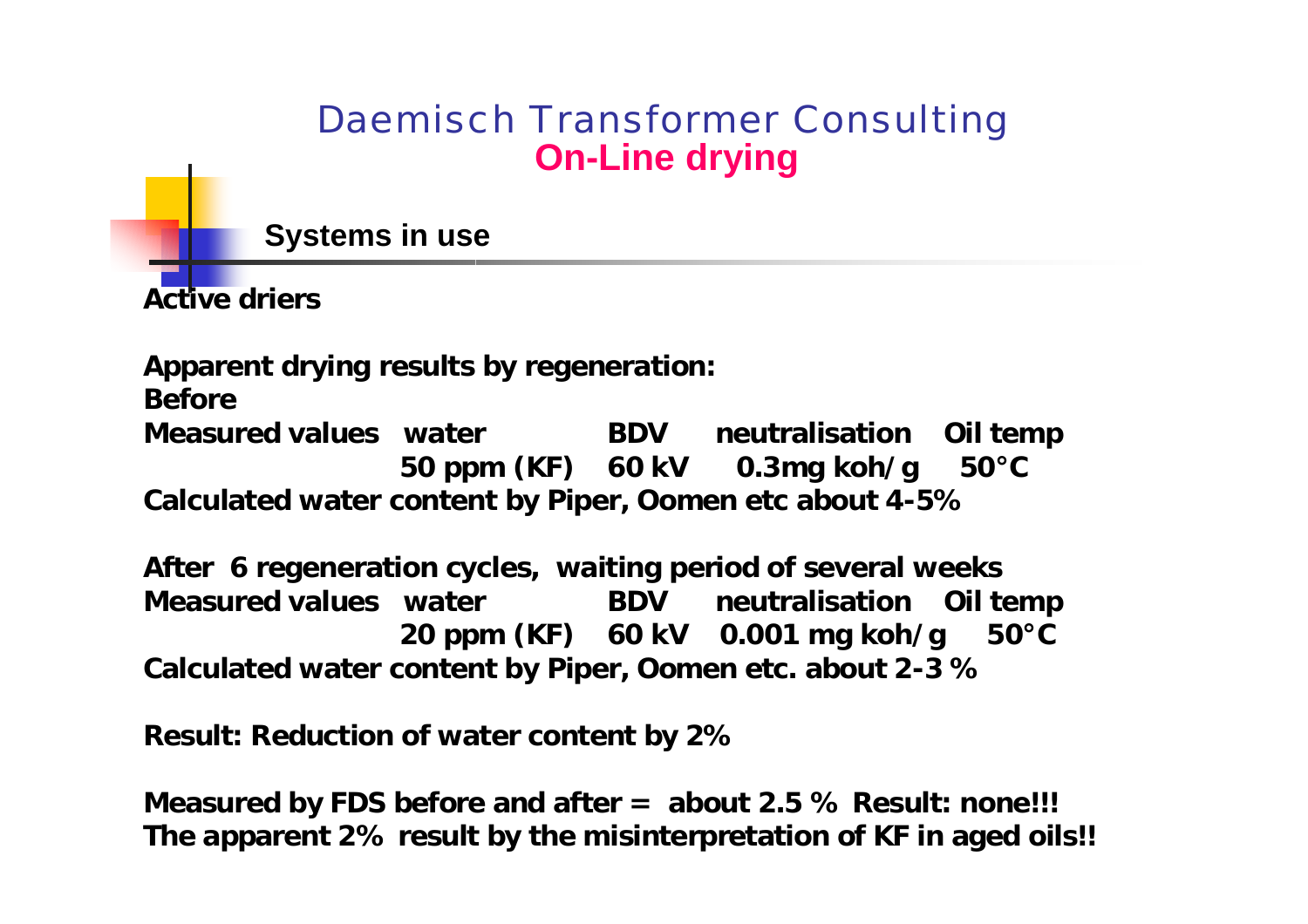**Systems in use**

**Active driers**

**Apparent drying results by regeneration:**

**Before** 

**Measured values water BDV neutralisation Oil temp 50 ppm (KF) 60 kV 0.3mg koh/g 50°C Calculated water content by Piper, Oomen etc about 4-5%**

**After 6 regeneration cycles, waiting period of several weeks Measured values water BDV neutralisation Oil temp 20 ppm (KF) 60 kV 0.001 mg koh/g 50°C Calculated water content by Piper, Oomen etc. about 2-3 %**

**Result: Reduction of water content by 2%** 

**Measured by FDS before and after = about 2.5 % Result: none!!! The apparent 2% result by the misinterpretation of KF in aged oils!!**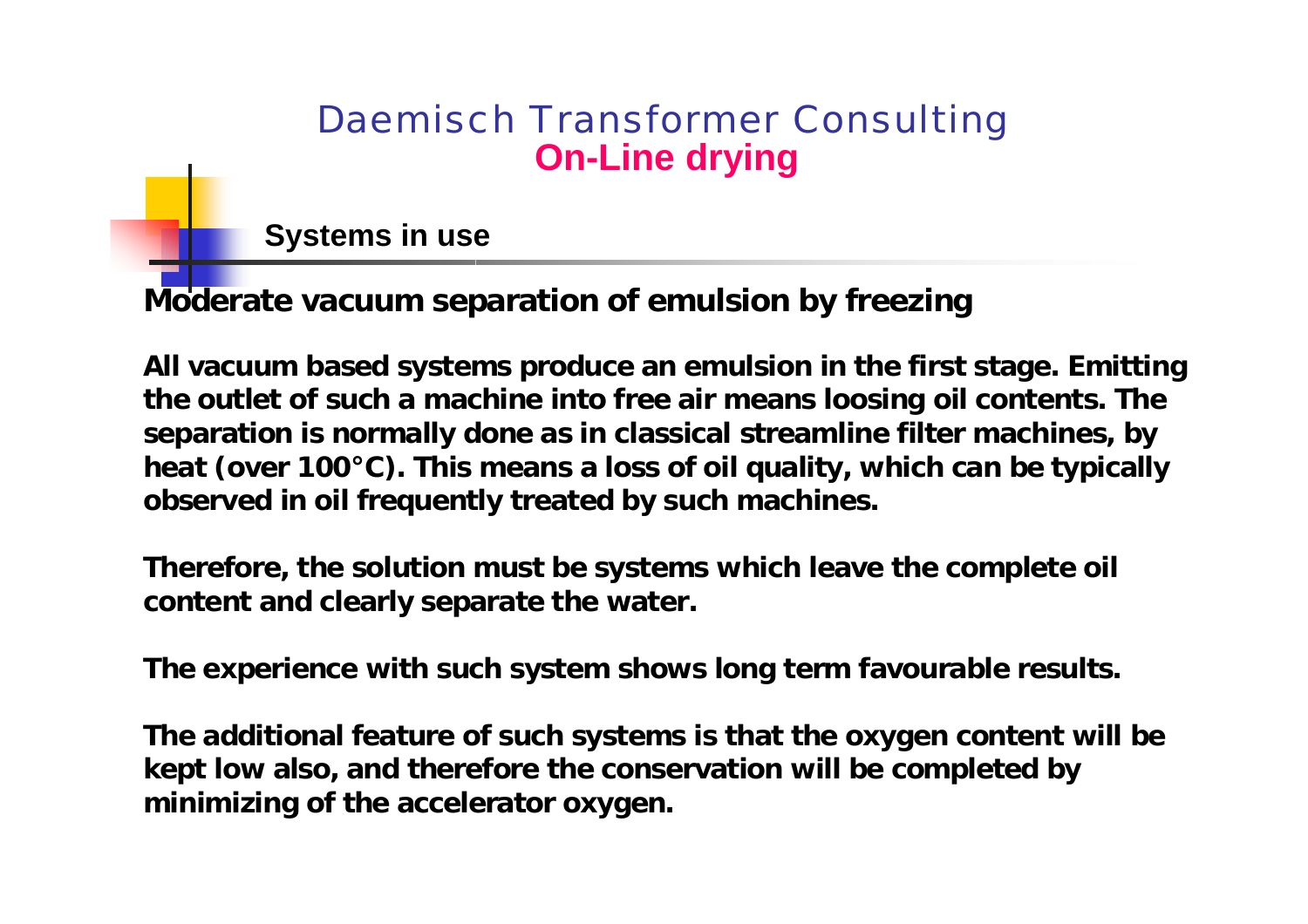**Systems in use**

**Moderate vacuum sep aratio n of emulsion by freezing**

**All vacuum based systems produce an emulsion in the first stage. Emitting the outlet of such a machine into free air means loosing oil contents. The separation is normally done as in classical streamline filter machines, by heat ( over 100°C). This means a loss of oil quality, which can be typically observed in oil frequently treated by such machines.** 

**Therefore, the solution must be systems which leave the complete oil content and clearly separate the water.**

**The experience with such system shows long term favourable results.**

**The additional feature of such systems is that the oxygen content will be kept low also, and therefore the conservation will be completed by minimizing of the accelerator oxygen.**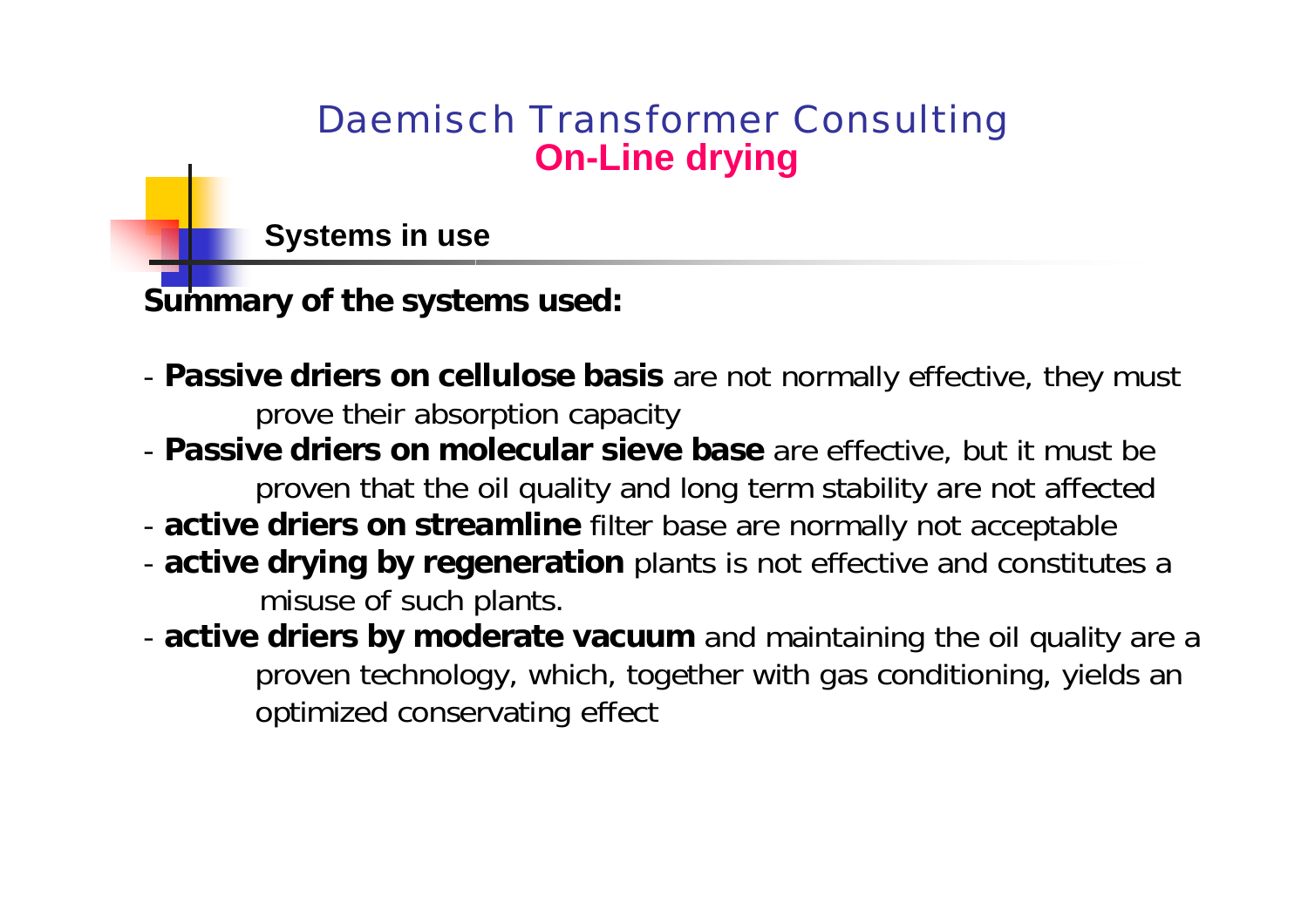**Systems in use**

**Summary of the systems used:**

- **Passive driers on cellulose basis** are not normally effective, they must prove their absorption capacity
- **Passive driers on molecular sieve base** are effective, but it must be proven that the oil quality and long term stability are not affected
- **active driers on streamline** filter base are normally not acceptable
- **active drying by regeneration** plants is not effective and constitutes a misuse of such plants.
- **active driers by moderate vacuum** and maintaining the oil quality are a proven technology, which, together with gas conditioning, yields an optimized conservating effect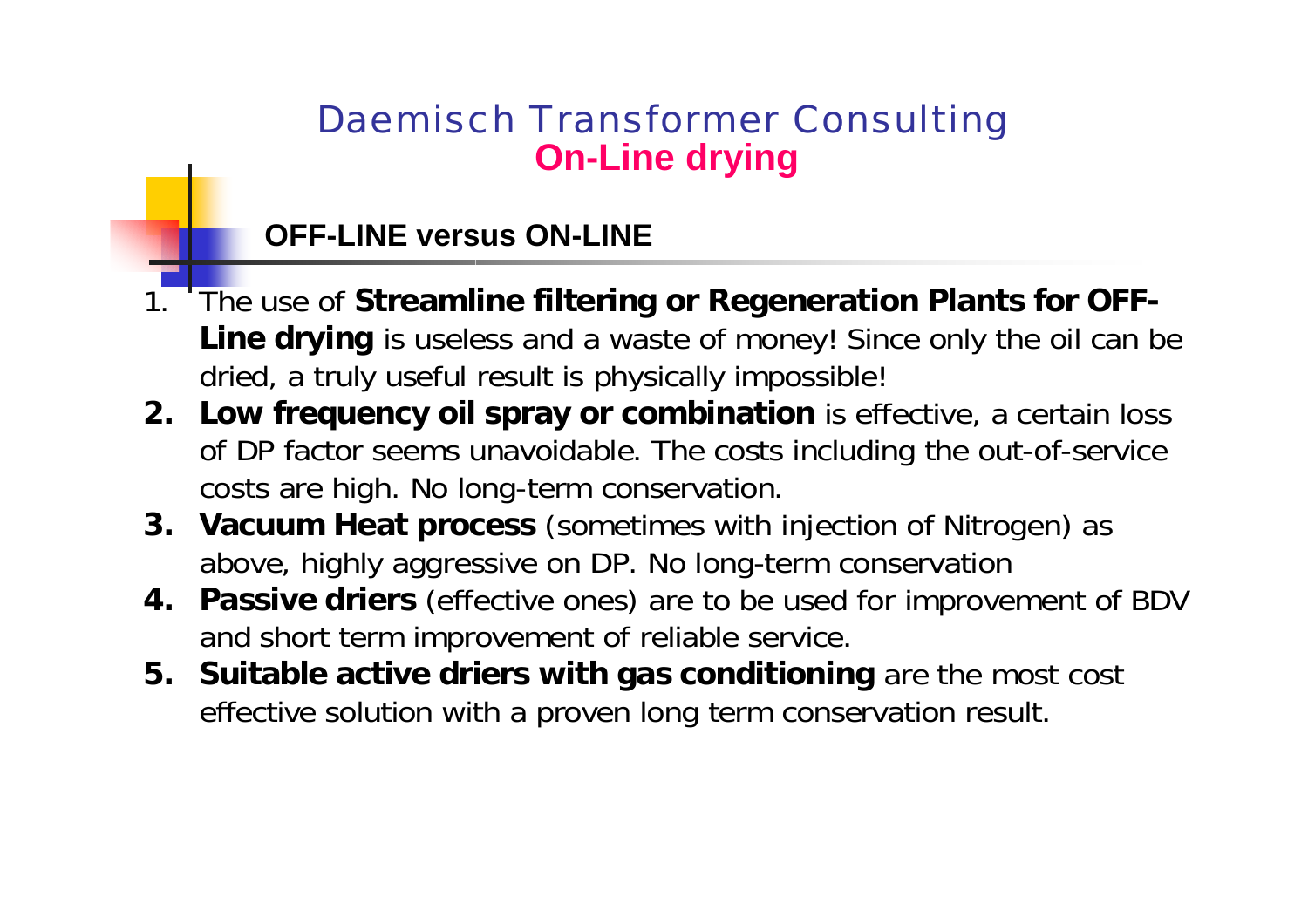#### **OFF-LINE versus ON-LINE**

- 1. The use of **Streamline filtering or Regeneration Plants for OFF-Line drying** is useless and a waste of money! Since only the oil can be dried, a truly useful result is physically impossible!
- **2. Low frequency oil spray or combination** is effective, a certain loss of DP factor seems unavoidable. The costs including the out-of-service costs are high. No long-term conservation.
- **3. Vacuum Heat process** (sometimes with injection of Nitrogen) as above, highly aggressive on DP. No long-term conservation
- **4. Passive driers** (effective ones) are to be used for improvement of BDV and short term improvement of reliable service.
- **5. Suitable active d riers with gas conditioning** are the most cost effective solution with a proven long term conservation result.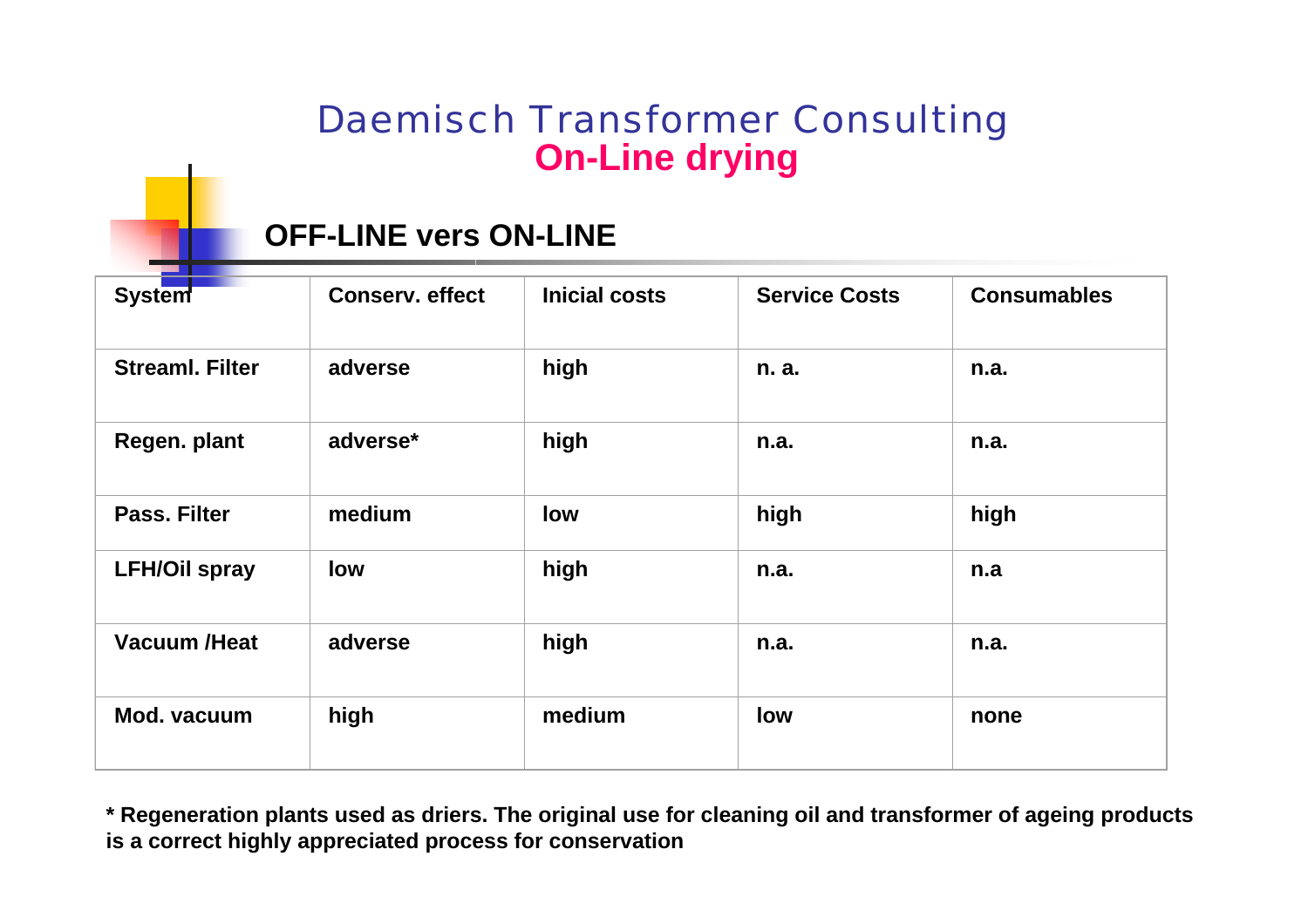#### **OFF-LINE vers ON-LINE**

| <b>System</b>          | <b>Conserv. effect</b> | <b>Inicial costs</b> | <b>Service Costs</b> | <b>Consumables</b> |
|------------------------|------------------------|----------------------|----------------------|--------------------|
| <b>Streaml, Filter</b> | adverse                | high                 | n. a.                | n.a.               |
| Regen. plant           | adverse*               | high                 | n.a.                 | n.a.               |
| Pass, Filter           | medium                 | low                  | high                 | high               |
| <b>LFH/Oil spray</b>   | low                    | high                 | n.a.                 | n.a                |
| <b>Vacuum /Heat</b>    | adverse                | high                 | n.a.                 | n.a.               |
| Mod. vacuum            | high                   | medium               | low                  | none               |

**\* Regeneration plants used as driers. T he original u se for cleaning oil and transformer of ageing products is a correct highly appreciated process for conservation**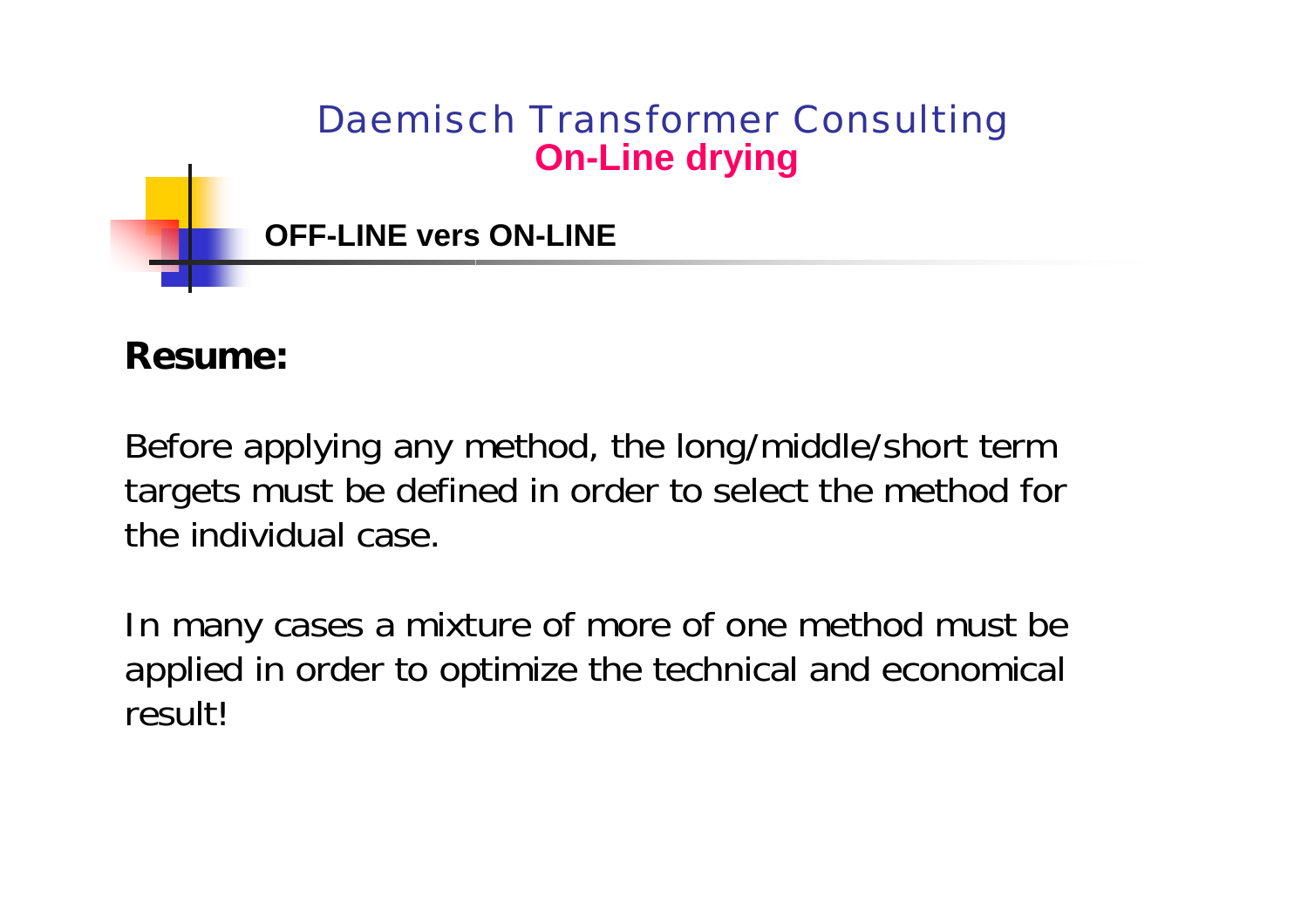

#### **Resume:**

Before applying any method, the long/middle/short term targets must be defined in order to select the method for the individual case.

In many cases a mixture of more of one method must be applied in order to optimize the technical and economical result!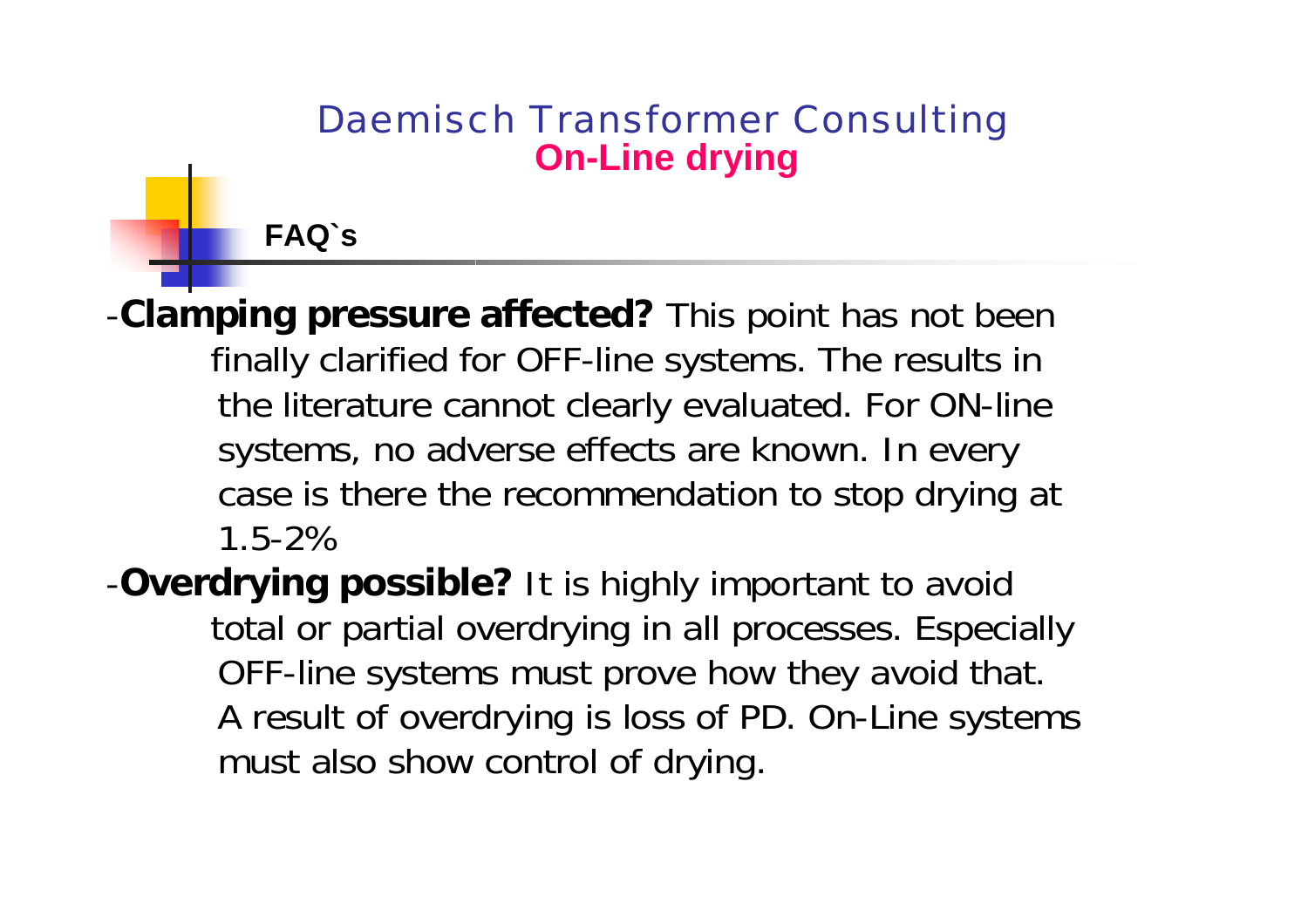#### **FAQ`s**

-**Clamping pressure affected?** This point has not been finally clarified for OFF-line systems. The results in the literature cannot clearly evaluated. For ON-line systems, no adverse effects are known. In every case is there the recommendation to stop drying at 1.5-2%

-**Overdrying possible?** It is highly important to avoid total or partial overdrying in all processes. Especially OFF-line systems must prove how they avoid that. A result of overdrying is loss of PD. On-Line systems must also show control of drying.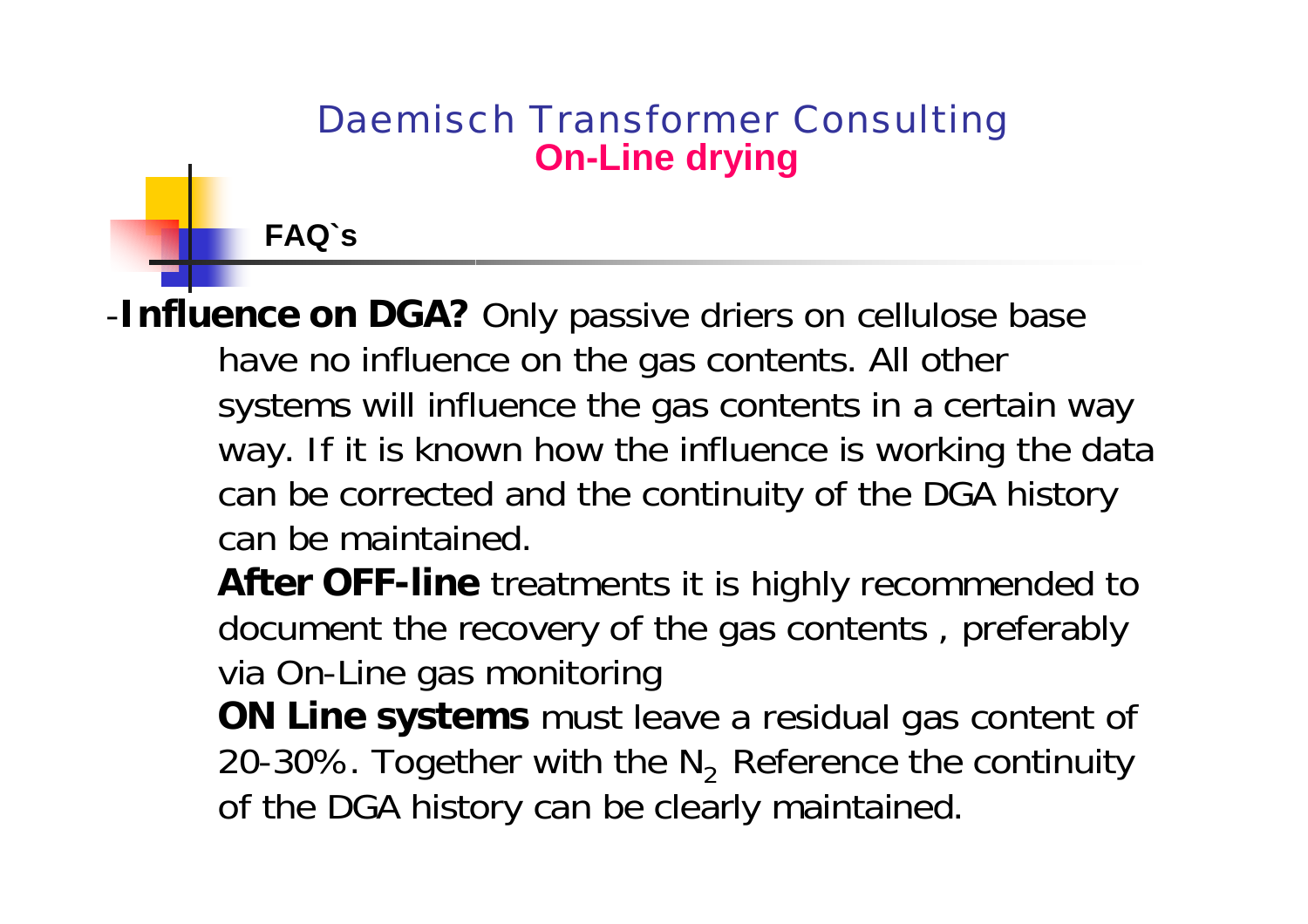**FAQ`s**

-**Influence on DGA?** Only passive driers on cellulose base have no influence on the gas contents. All other systems will influence the gas contents in a certain way way. If it is known how the influence is working the data can be corrected and the continuity of the DGA history can be maintained.

**After OFF-line** treatments it is highly recommended to document the recovery of the gas contents , preferably via On-Line gas monitoring

**ON Line systems** must leave a residual gas content of 20-30%. Together with the  $N<sub>2</sub>$  Reference the continuity of the DGA history can be clearly maintained.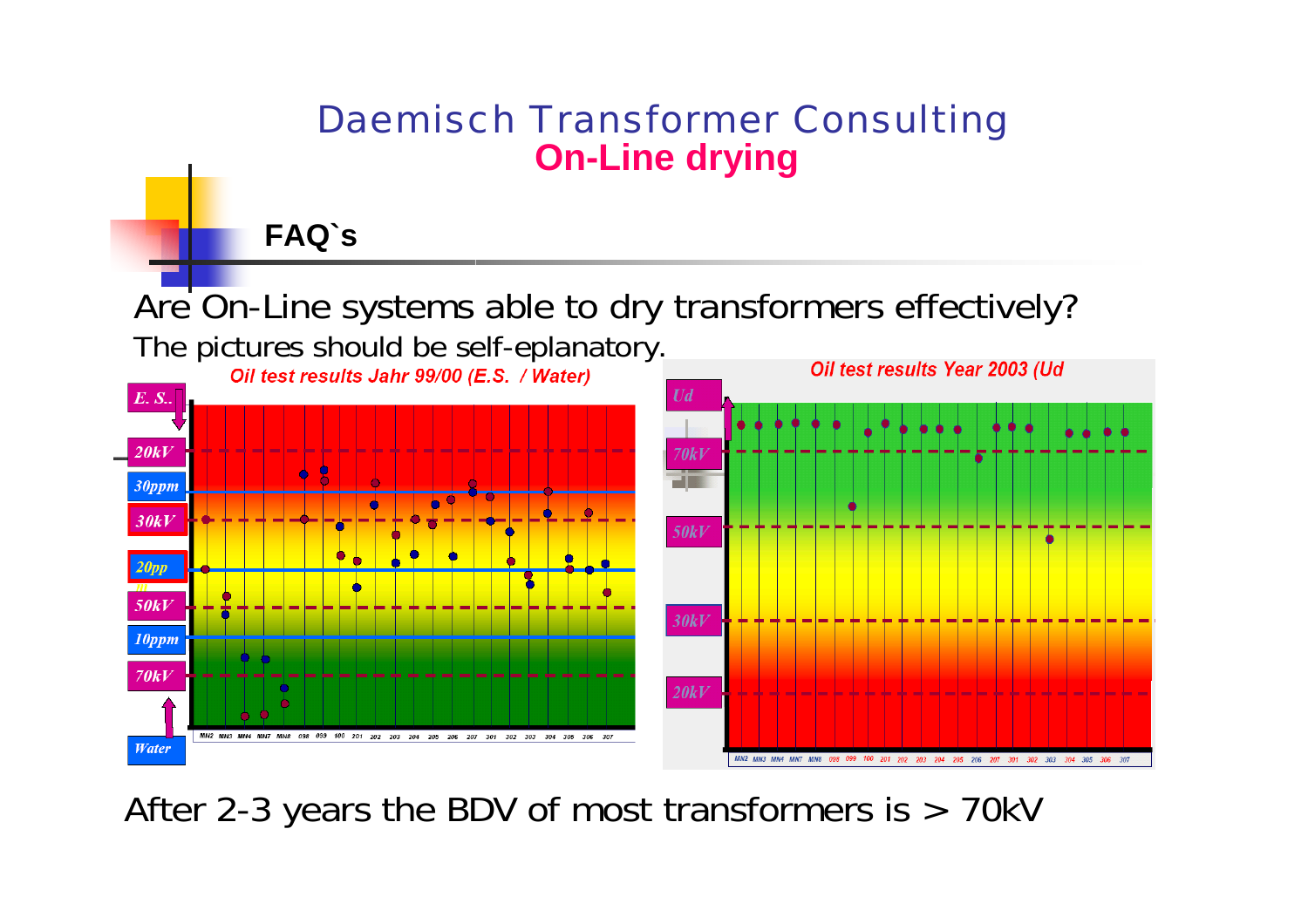**FAQ`s**

Are On-Line systems able to dry transformers effectively?



After 2-3 years the BDV of most transformers is > 70kV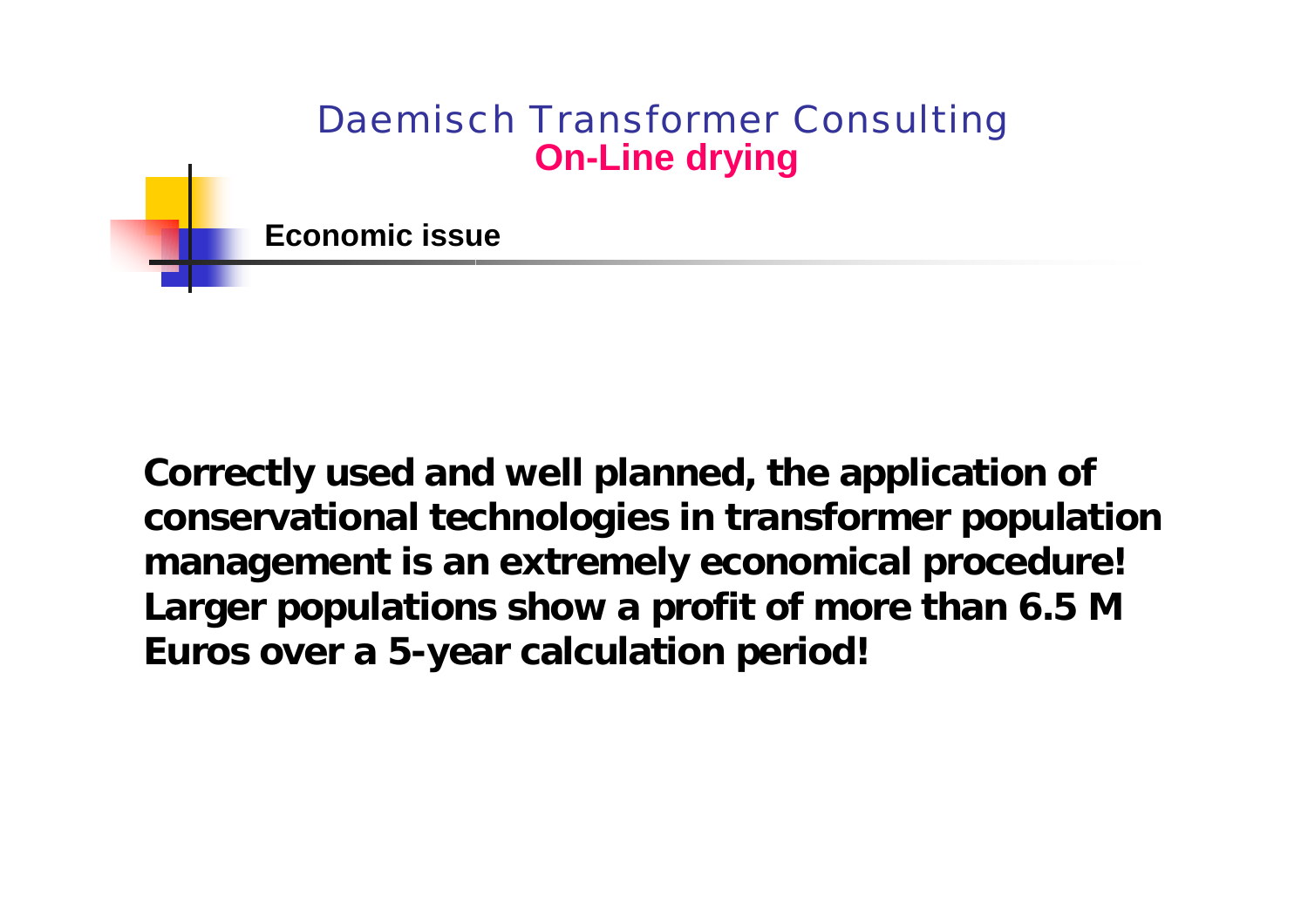**Economic issue**

**Correctly used and well planned, the application of conservational technologies in transformer population management is an extremely economical procedure! Larger populations show a profit of more than 6.5 M Euros over a 5-year calculation period!**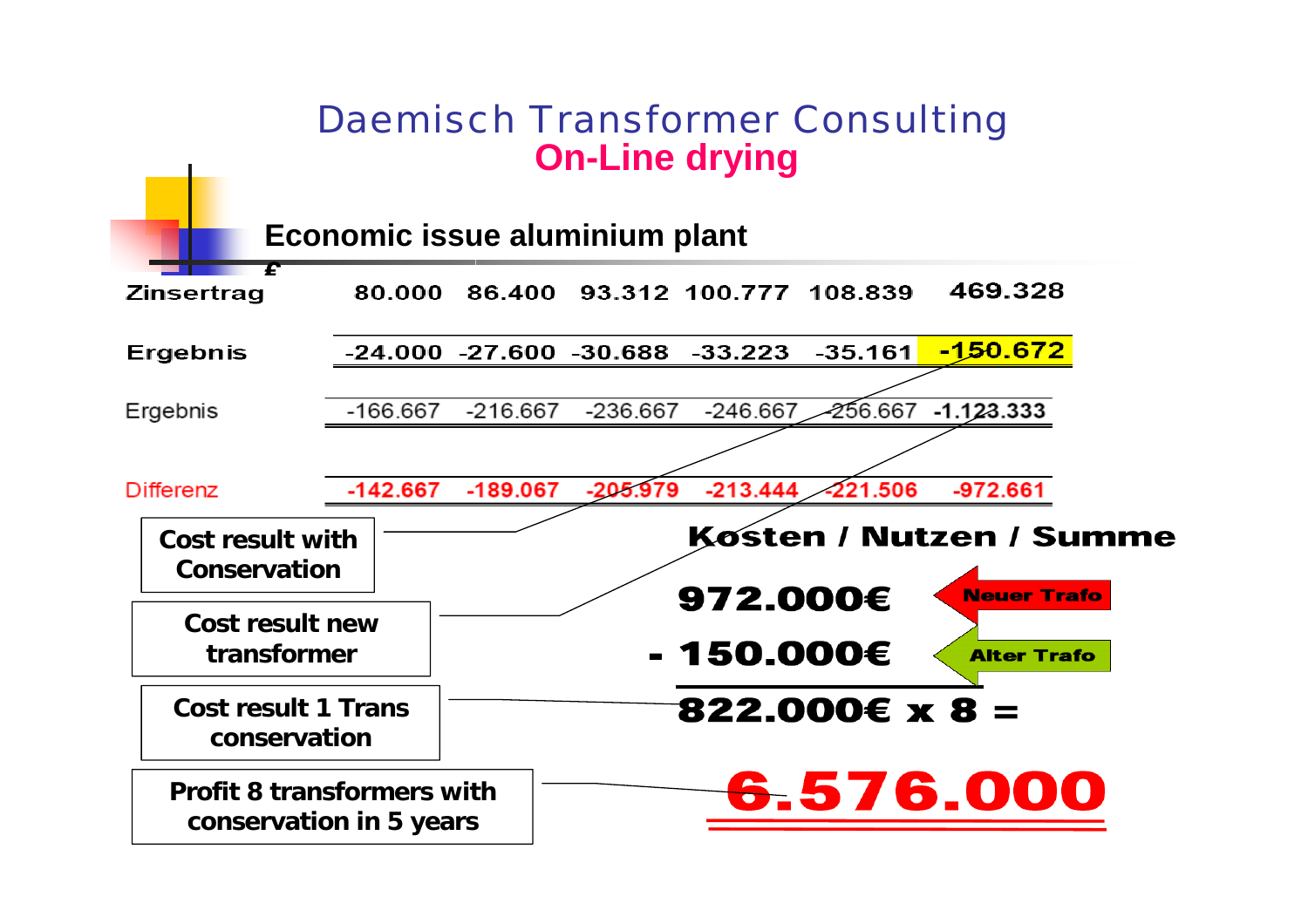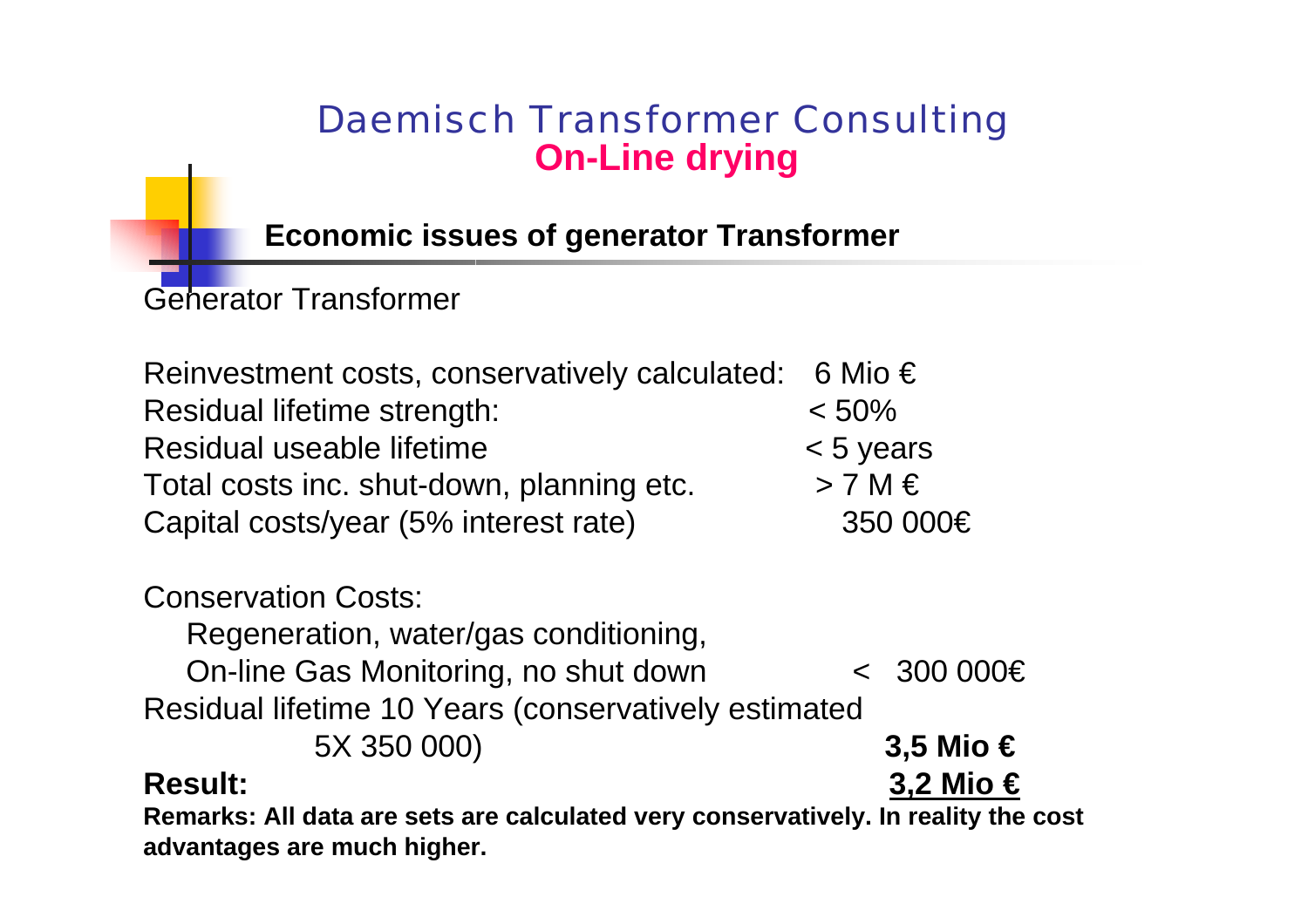**Economic issues of generator Transformer**

Generator Transformer

Reinvestment costs, conservatively calculated: 6 Mio  $\epsilon$ Residual lifetime strength: <  $< 50%$ Residual useable lifetime < 5 years Total costs inc. shut-down, planning etc.  $> 7 M \in$ Ca pital costs/year (5% interest rate) 350 000€

#### Conservation Costs:

Regeneration, water/gas conditioning,

On-line Gas Monitoring, no shut down < 300 000€ Residual lifetime 10 Years (conservatively estimated

5X 350 000) **3,5 Mio €**

#### **Result:**

**Remarks: All d ata are sets are calculated very conservatively. In reality the cost advantages are much higher.**

**3,2 Mio €**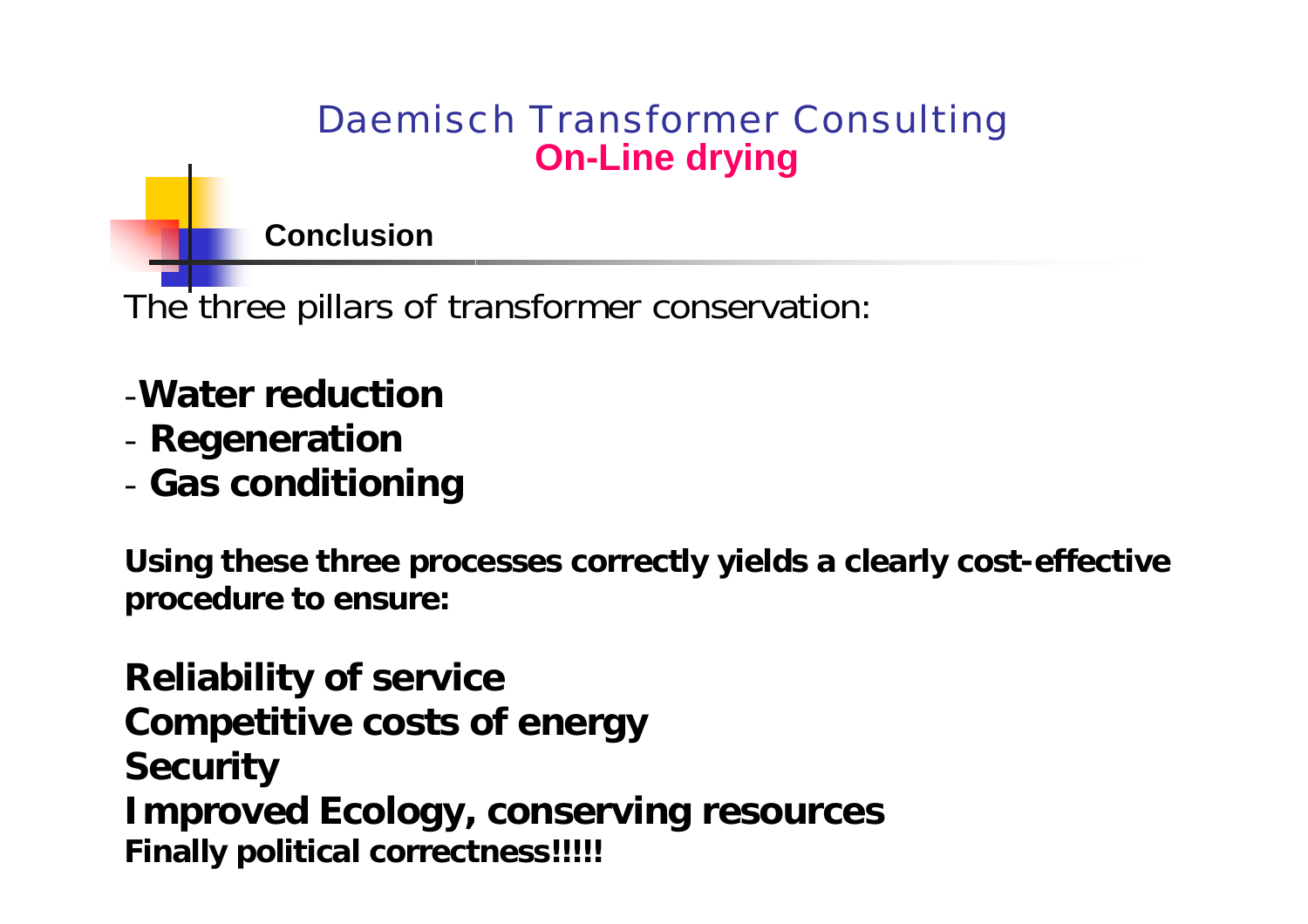**Conclusion**

The three pillars of transformer conservation:

- -**Water reduction**
- -**Regeneration**
- -**Gas conditioning**

**Using these three processes correctl y yields a clearly cost -effective procedure to ensure:**

**Reliability of service Competitive costs of energy Security Improved Ecology, conserving resources Finally political correctness!!!!!**